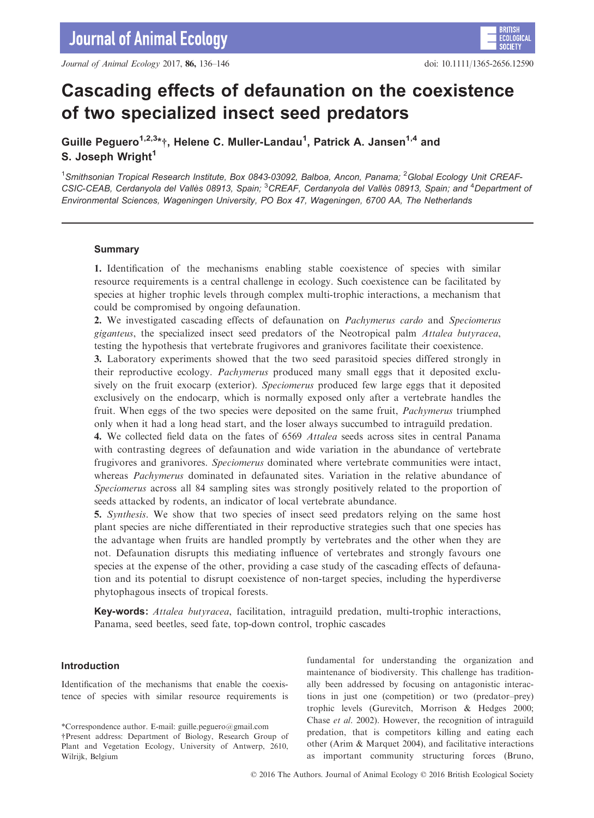# Cascading effects of defaunation on the coexistence of two specialized insect seed predators

Guille Peguero<sup>1,2,3</sup>\*†, Helene C. Muller-Landau<sup>1</sup>, Patrick A. Jansen<sup>1,4</sup> and S. Joseph Wright<sup>1</sup>

<sup>1</sup>Smithsonian Tropical Research Institute, Box 0843-03092, Balboa, Ancon, Panama; <sup>2</sup>Global Ecology Unit CREAF-CSIC-CEAB, Cerdanyola del Vallès 08913, Spain; <sup>3</sup>CREAF, Cerdanyola del Vallès 08913, Spain; and <sup>4</sup>Department ot Environmental Sciences, Wageningen University, PO Box 47, Wageningen, 6700 AA, The Netherlands

## **Summary**

1. Identification of the mechanisms enabling stable coexistence of species with similar resource requirements is a central challenge in ecology. Such coexistence can be facilitated by species at higher trophic levels through complex multi-trophic interactions, a mechanism that could be compromised by ongoing defaunation.

2. We investigated cascading effects of defaunation on Pachymerus cardo and Speciomerus giganteus, the specialized insect seed predators of the Neotropical palm Attalea butyracea, testing the hypothesis that vertebrate frugivores and granivores facilitate their coexistence.

3. Laboratory experiments showed that the two seed parasitoid species differed strongly in their reproductive ecology. Pachymerus produced many small eggs that it deposited exclusively on the fruit exocarp (exterior). Speciomerus produced few large eggs that it deposited exclusively on the endocarp, which is normally exposed only after a vertebrate handles the fruit. When eggs of the two species were deposited on the same fruit, Pachymerus triumphed only when it had a long head start, and the loser always succumbed to intraguild predation.

4. We collected field data on the fates of 6569 Attalea seeds across sites in central Panama with contrasting degrees of defaunation and wide variation in the abundance of vertebrate frugivores and granivores. Speciomerus dominated where vertebrate communities were intact, whereas *Pachymerus* dominated in defaunated sites. Variation in the relative abundance of Speciomerus across all 84 sampling sites was strongly positively related to the proportion of seeds attacked by rodents, an indicator of local vertebrate abundance.

5. Synthesis. We show that two species of insect seed predators relying on the same host plant species are niche differentiated in their reproductive strategies such that one species has the advantage when fruits are handled promptly by vertebrates and the other when they are not. Defaunation disrupts this mediating influence of vertebrates and strongly favours one species at the expense of the other, providing a case study of the cascading effects of defaunation and its potential to disrupt coexistence of non-target species, including the hyperdiverse phytophagous insects of tropical forests.

Key-words: Attalea butyracea, facilitation, intraguild predation, multi-trophic interactions, Panama, seed beetles, seed fate, top-down control, trophic cascades

# Introduction

Identification of the mechanisms that enable the coexistence of species with similar resource requirements is

fundamental for understanding the organization and maintenance of biodiversity. This challenge has traditionally been addressed by focusing on antagonistic interactions in just one (competition) or two (predator–prey) trophic levels (Gurevitch, Morrison & Hedges 2000; Chase et al. 2002). However, the recognition of intraguild predation, that is competitors killing and eating each other (Arim & Marquet 2004), and facilitative interactions as important community structuring forces (Bruno,

<sup>\*</sup>Correspondence author. E-mail: guille.peguero@gmail.com †Present address: Department of Biology, Research Group of Plant and Vegetation Ecology, University of Antwerp, 2610, Wilrijk, Belgium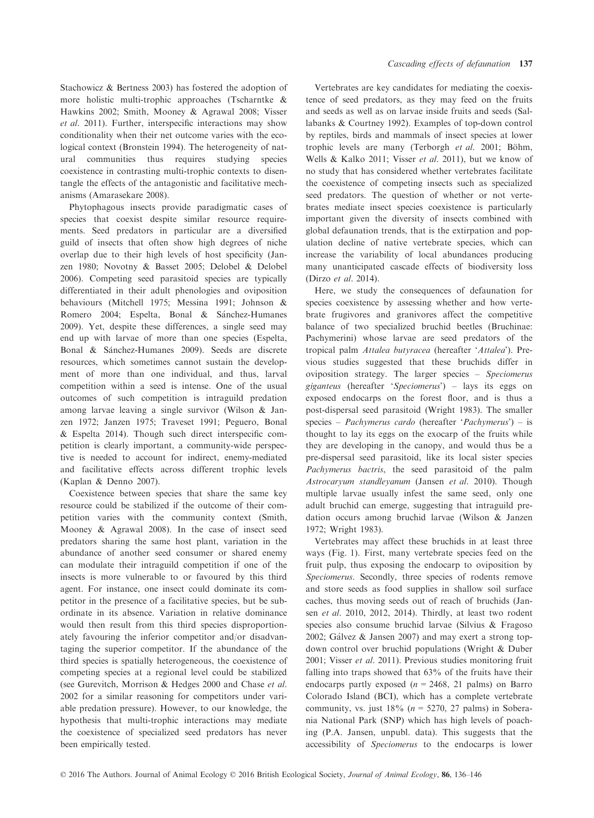Stachowicz & Bertness 2003) has fostered the adoption of more holistic multi-trophic approaches (Tscharntke & Hawkins 2002; Smith, Mooney & Agrawal 2008; Visser et al. 2011). Further, interspecific interactions may show conditionality when their net outcome varies with the ecological context (Bronstein 1994). The heterogeneity of natural communities thus requires studying species coexistence in contrasting multi-trophic contexts to disentangle the effects of the antagonistic and facilitative mechanisms (Amarasekare 2008).

Phytophagous insects provide paradigmatic cases of species that coexist despite similar resource requirements. Seed predators in particular are a diversified guild of insects that often show high degrees of niche overlap due to their high levels of host specificity (Janzen 1980; Novotny & Basset 2005; Delobel & Delobel 2006). Competing seed parasitoid species are typically differentiated in their adult phenologies and oviposition behaviours (Mitchell 1975; Messina 1991; Johnson & Romero 2004; Espelta, Bonal & Sánchez-Humanes 2009). Yet, despite these differences, a single seed may end up with larvae of more than one species (Espelta, Bonal & Sánchez-Humanes 2009). Seeds are discrete resources, which sometimes cannot sustain the development of more than one individual, and thus, larval competition within a seed is intense. One of the usual outcomes of such competition is intraguild predation among larvae leaving a single survivor (Wilson & Janzen 1972; Janzen 1975; Traveset 1991; Peguero, Bonal & Espelta 2014). Though such direct interspecific competition is clearly important, a community-wide perspective is needed to account for indirect, enemy-mediated and facilitative effects across different trophic levels (Kaplan & Denno 2007).

Coexistence between species that share the same key resource could be stabilized if the outcome of their competition varies with the community context (Smith, Mooney & Agrawal 2008). In the case of insect seed predators sharing the same host plant, variation in the abundance of another seed consumer or shared enemy can modulate their intraguild competition if one of the insects is more vulnerable to or favoured by this third agent. For instance, one insect could dominate its competitor in the presence of a facilitative species, but be subordinate in its absence. Variation in relative dominance would then result from this third species disproportionately favouring the inferior competitor and/or disadvantaging the superior competitor. If the abundance of the third species is spatially heterogeneous, the coexistence of competing species at a regional level could be stabilized (see Gurevitch, Morrison & Hedges 2000 and Chase et al. 2002 for a similar reasoning for competitors under variable predation pressure). However, to our knowledge, the hypothesis that multi-trophic interactions may mediate the coexistence of specialized seed predators has never been empirically tested.

Vertebrates are key candidates for mediating the coexistence of seed predators, as they may feed on the fruits and seeds as well as on larvae inside fruits and seeds (Sallabanks & Courtney 1992). Examples of top-down control by reptiles, birds and mammals of insect species at lower trophic levels are many (Terborgh  $et$  al. 2001; Böhm, Wells & Kalko 2011; Visser et al. 2011), but we know of no study that has considered whether vertebrates facilitate the coexistence of competing insects such as specialized seed predators. The question of whether or not vertebrates mediate insect species coexistence is particularly important given the diversity of insects combined with global defaunation trends, that is the extirpation and population decline of native vertebrate species, which can increase the variability of local abundances producing many unanticipated cascade effects of biodiversity loss (Dirzo et al. 2014).

Here, we study the consequences of defaunation for species coexistence by assessing whether and how vertebrate frugivores and granivores affect the competitive balance of two specialized bruchid beetles (Bruchinae: Pachymerini) whose larvae are seed predators of the tropical palm Attalea butyracea (hereafter 'Attalea'). Previous studies suggested that these bruchids differ in oviposition strategy. The larger species – Speciomerus giganteus (hereafter 'Speciomerus') – lays its eggs on exposed endocarps on the forest floor, and is thus a post-dispersal seed parasitoid (Wright 1983). The smaller species – *Pachymerus cardo* (hereafter '*Pachymerus*') – is thought to lay its eggs on the exocarp of the fruits while they are developing in the canopy, and would thus be a pre-dispersal seed parasitoid, like its local sister species Pachymerus bactris, the seed parasitoid of the palm Astrocaryum standleyanum (Jansen et al. 2010). Though multiple larvae usually infest the same seed, only one adult bruchid can emerge, suggesting that intraguild predation occurs among bruchid larvae (Wilson & Janzen 1972; Wright 1983).

Vertebrates may affect these bruchids in at least three ways (Fig. 1). First, many vertebrate species feed on the fruit pulp, thus exposing the endocarp to oviposition by Speciomerus. Secondly, three species of rodents remove and store seeds as food supplies in shallow soil surface caches, thus moving seeds out of reach of bruchids (Jansen et al. 2010, 2012, 2014). Thirdly, at least two rodent species also consume bruchid larvae (Silvius & Fragoso 2002; Galvez & Jansen 2007) and may exert a strong topdown control over bruchid populations (Wright & Duber 2001; Visser et al. 2011). Previous studies monitoring fruit falling into traps showed that 63% of the fruits have their endocarps partly exposed  $(n = 2468, 21 \text{ palms})$  on Barro Colorado Island (BCI), which has a complete vertebrate community, vs. just  $18\%$  ( $n = 5270$ , 27 palms) in Soberania National Park (SNP) which has high levels of poaching (P.A. Jansen, unpubl. data). This suggests that the accessibility of Speciomerus to the endocarps is lower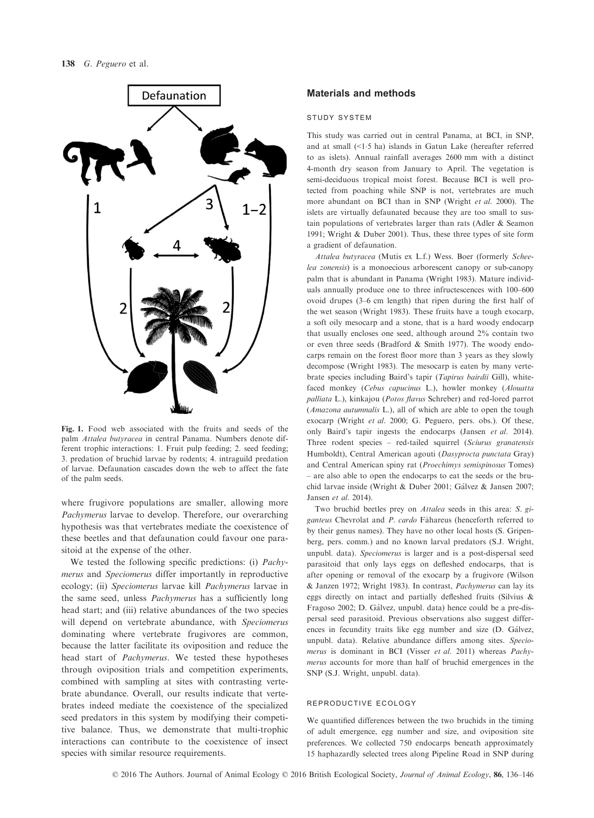

Fig. 1. Food web associated with the fruits and seeds of the palm Attalea butyracea in central Panama. Numbers denote different trophic interactions: 1. Fruit pulp feeding; 2. seed feeding; 3. predation of bruchid larvae by rodents; 4. intraguild predation of larvae. Defaunation cascades down the web to affect the fate of the palm seeds.

where frugivore populations are smaller, allowing more Pachymerus larvae to develop. Therefore, our overarching hypothesis was that vertebrates mediate the coexistence of these beetles and that defaunation could favour one parasitoid at the expense of the other.

We tested the following specific predictions: (i) *Pachy*merus and Speciomerus differ importantly in reproductive ecology; (ii) Speciomerus larvae kill Pachymerus larvae in the same seed, unless *Pachymerus* has a sufficiently long head start; and (iii) relative abundances of the two species will depend on vertebrate abundance, with Speciomerus dominating where vertebrate frugivores are common, because the latter facilitate its oviposition and reduce the head start of Pachymerus. We tested these hypotheses through oviposition trials and competition experiments, combined with sampling at sites with contrasting vertebrate abundance. Overall, our results indicate that vertebrates indeed mediate the coexistence of the specialized seed predators in this system by modifying their competitive balance. Thus, we demonstrate that multi-trophic interactions can contribute to the coexistence of insect species with similar resource requirements.

# Materials and methods

#### study system

This study was carried out in central Panama, at BCI, in SNP, and at small (<15 ha) islands in Gatun Lake (hereafter referred to as islets). Annual rainfall averages 2600 mm with a distinct 4-month dry season from January to April. The vegetation is semi-deciduous tropical moist forest. Because BCI is well protected from poaching while SNP is not, vertebrates are much more abundant on BCI than in SNP (Wright et al. 2000). The islets are virtually defaunated because they are too small to sustain populations of vertebrates larger than rats (Adler & Seamon 1991; Wright & Duber 2001). Thus, these three types of site form a gradient of defaunation.

Attalea butyracea (Mutis ex L.f.) Wess. Boer (formerly Scheelea zonensis) is a monoecious arborescent canopy or sub-canopy palm that is abundant in Panama (Wright 1983). Mature individuals annually produce one to three infructescences with 100–600 ovoid drupes (3–6 cm length) that ripen during the first half of the wet season (Wright 1983). These fruits have a tough exocarp, a soft oily mesocarp and a stone, that is a hard woody endocarp that usually encloses one seed, although around 2% contain two or even three seeds (Bradford & Smith 1977). The woody endocarps remain on the forest floor more than 3 years as they slowly decompose (Wright 1983). The mesocarp is eaten by many vertebrate species including Baird's tapir (Tapirus bairdii Gill), whitefaced monkey (Cebus capucinus L.), howler monkey (Alouatta palliata L.), kinkajou (Potos flavus Schreber) and red-lored parrot (Amazona autumnalis L.), all of which are able to open the tough exocarp (Wright et al. 2000; G. Peguero, pers. obs.). Of these, only Baird's tapir ingests the endocarps (Jansen et al. 2014). Three rodent species – red-tailed squirrel (Sciurus granatensis Humboldt), Central American agouti (Dasyprocta punctata Gray) and Central American spiny rat (Proechimys semispinosus Tomes) – are also able to open the endocarps to eat the seeds or the bruchid larvae inside (Wright & Duber 2001; Galvez & Jansen 2007; Jansen et al. 2014).

Two bruchid beetles prey on Attalea seeds in this area: S. giganteus Chevrolat and P. cardo Fåhareus (henceforth referred to by their genus names). They have no other local hosts (S. Gripenberg, pers. comm.) and no known larval predators (S.J. Wright, unpubl. data). Speciomerus is larger and is a post-dispersal seed parasitoid that only lays eggs on defleshed endocarps, that is after opening or removal of the exocarp by a frugivore (Wilson & Janzen 1972; Wright 1983). In contrast, Pachymerus can lay its eggs directly on intact and partially defleshed fruits (Silvius & Fragoso 2002; D. Galvez, unpubl. data) hence could be a pre-dispersal seed parasitoid. Previous observations also suggest differences in fecundity traits like egg number and size (D. Galvez, unpubl. data). Relative abundance differs among sites. Speciomerus is dominant in BCI (Visser et al. 2011) whereas Pachymerus accounts for more than half of bruchid emergences in the SNP (S.J. Wright, unpubl. data).

## reproductive ecology

We quantified differences between the two bruchids in the timing of adult emergence, egg number and size, and oviposition site preferences. We collected 750 endocarps beneath approximately 15 haphazardly selected trees along Pipeline Road in SNP during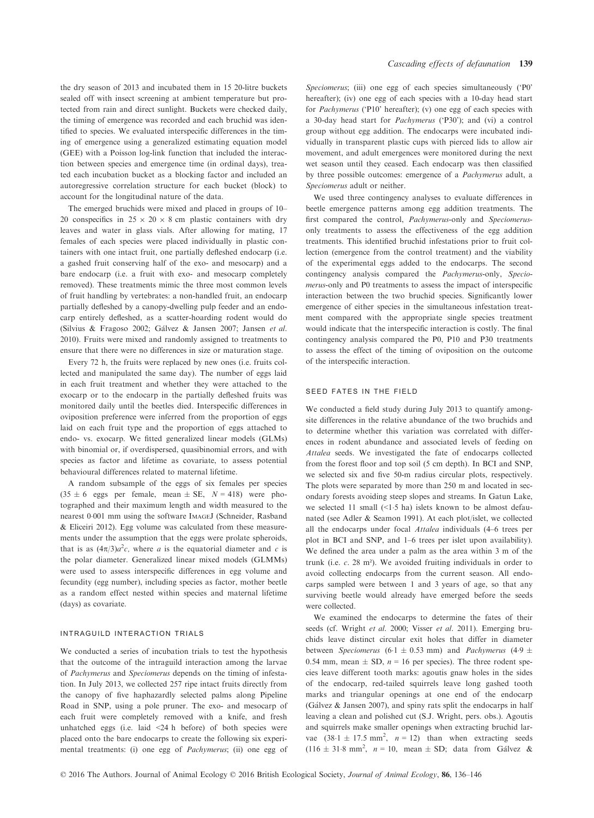the dry season of 2013 and incubated them in 15 20-litre buckets sealed off with insect screening at ambient temperature but protected from rain and direct sunlight. Buckets were checked daily, the timing of emergence was recorded and each bruchid was identified to species. We evaluated interspecific differences in the timing of emergence using a generalized estimating equation model (GEE) with a Poisson log-link function that included the interaction between species and emergence time (in ordinal days), treated each incubation bucket as a blocking factor and included an autoregressive correlation structure for each bucket (block) to account for the longitudinal nature of the data.

The emerged bruchids were mixed and placed in groups of 10– 20 conspecifics in  $25 \times 20 \times 8$  cm plastic containers with dry leaves and water in glass vials. After allowing for mating, 17 females of each species were placed individually in plastic containers with one intact fruit, one partially defleshed endocarp (i.e. a gashed fruit conserving half of the exo- and mesocarp) and a bare endocarp (i.e. a fruit with exo- and mesocarp completely removed). These treatments mimic the three most common levels of fruit handling by vertebrates: a non-handled fruit, an endocarp partially defleshed by a canopy-dwelling pulp feeder and an endocarp entirely defleshed, as a scatter-hoarding rodent would do (Silvius & Fragoso 2002; Galvez & Jansen 2007; Jansen et al. 2010). Fruits were mixed and randomly assigned to treatments to ensure that there were no differences in size or maturation stage.

Every 72 h, the fruits were replaced by new ones (i.e. fruits collected and manipulated the same day). The number of eggs laid in each fruit treatment and whether they were attached to the exocarp or to the endocarp in the partially defleshed fruits was monitored daily until the beetles died. Interspecific differences in oviposition preference were inferred from the proportion of eggs laid on each fruit type and the proportion of eggs attached to endo- vs. exocarp. We fitted generalized linear models (GLMs) with binomial or, if overdispersed, quasibinomial errors, and with species as factor and lifetime as covariate, to assess potential behavioural differences related to maternal lifetime.

A random subsample of the eggs of six females per species  $(35 \pm 6$  eggs per female, mean  $\pm$  SE,  $N = 418$ ) were photographed and their maximum length and width measured to the nearest 0.001 mm using the software IMAGEJ (Schneider, Rasband & Eliceiri 2012). Egg volume was calculated from these measurements under the assumption that the eggs were prolate spheroids, that is as  $(4\pi/3)a^2c$ , where a is the equatorial diameter and c is the polar diameter. Generalized linear mixed models (GLMMs) were used to assess interspecific differences in egg volume and fecundity (egg number), including species as factor, mother beetle as a random effect nested within species and maternal lifetime (days) as covariate.

#### intraguild interaction trials

We conducted a series of incubation trials to test the hypothesis that the outcome of the intraguild interaction among the larvae of Pachymerus and Speciomerus depends on the timing of infestation. In July 2013, we collected 257 ripe intact fruits directly from the canopy of five haphazardly selected palms along Pipeline Road in SNP, using a pole pruner. The exo- and mesocarp of each fruit were completely removed with a knife, and fresh unhatched eggs (i.e. laid  $\leq 24$  h before) of both species were placed onto the bare endocarps to create the following six experimental treatments: (i) one egg of Pachymerus; (ii) one egg of Speciomerus; (iii) one egg of each species simultaneously ('P0' hereafter); (iv) one egg of each species with a 10-day head start for Pachymerus ('P10' hereafter); (v) one egg of each species with a 30-day head start for Pachymerus ('P30'); and (vi) a control group without egg addition. The endocarps were incubated individually in transparent plastic cups with pierced lids to allow air movement, and adult emergences were monitored during the next wet season until they ceased. Each endocarp was then classified by three possible outcomes: emergence of a Pachymerus adult, a Speciomerus adult or neither.

We used three contingency analyses to evaluate differences in beetle emergence patterns among egg addition treatments. The first compared the control, Pachymerus-only and Speciomerusonly treatments to assess the effectiveness of the egg addition treatments. This identified bruchid infestations prior to fruit collection (emergence from the control treatment) and the viability of the experimental eggs added to the endocarps. The second contingency analysis compared the Pachymerus-only, Speciomerus-only and P0 treatments to assess the impact of interspecific interaction between the two bruchid species. Significantly lower emergence of either species in the simultaneous infestation treatment compared with the appropriate single species treatment would indicate that the interspecific interaction is costly. The final contingency analysis compared the P0, P10 and P30 treatments to assess the effect of the timing of oviposition on the outcome of the interspecific interaction.

#### seed fates in the field

We conducted a field study during July 2013 to quantify amongsite differences in the relative abundance of the two bruchids and to determine whether this variation was correlated with differences in rodent abundance and associated levels of feeding on Attalea seeds. We investigated the fate of endocarps collected from the forest floor and top soil (5 cm depth). In BCI and SNP, we selected six and five 50-m radius circular plots, respectively. The plots were separated by more than 250 m and located in secondary forests avoiding steep slopes and streams. In Gatun Lake, we selected 11 small (<1.5 ha) islets known to be almost defaunated (see Adler & Seamon 1991). At each plot/islet, we collected all the endocarps under focal Attalea individuals (4–6 trees per plot in BCI and SNP, and 1–6 trees per islet upon availability). We defined the area under a palm as the area within 3 m of the trunk (i.e. c. 28 m²). We avoided fruiting individuals in order to avoid collecting endocarps from the current season. All endocarps sampled were between 1 and 3 years of age, so that any surviving beetle would already have emerged before the seeds were collected.

We examined the endocarps to determine the fates of their seeds (cf. Wright et al. 2000; Visser et al. 2011). Emerging bruchids leave distinct circular exit holes that differ in diameter between Speciomerus (6.1  $\pm$  0.53 mm) and Pachymerus (4.9  $\pm$ 0.54 mm, mean  $\pm$  SD,  $n = 16$  per species). The three rodent species leave different tooth marks: agoutis gnaw holes in the sides of the endocarp, red-tailed squirrels leave long gashed tooth marks and triangular openings at one end of the endocarp (Galvez & Jansen 2007), and spiny rats split the endocarps in half leaving a clean and polished cut (S.J. Wright, pers. obs.). Agoutis and squirrels make smaller openings when extracting bruchid larvae  $(38.1 \pm 17.5 \text{ mm}^2, n = 12)$  than when extracting seeds  $(116 \pm 31.8 \text{ mm}^2, n = 10, \text{ mean } \pm \text{ SD}$ ; data from Gálvez &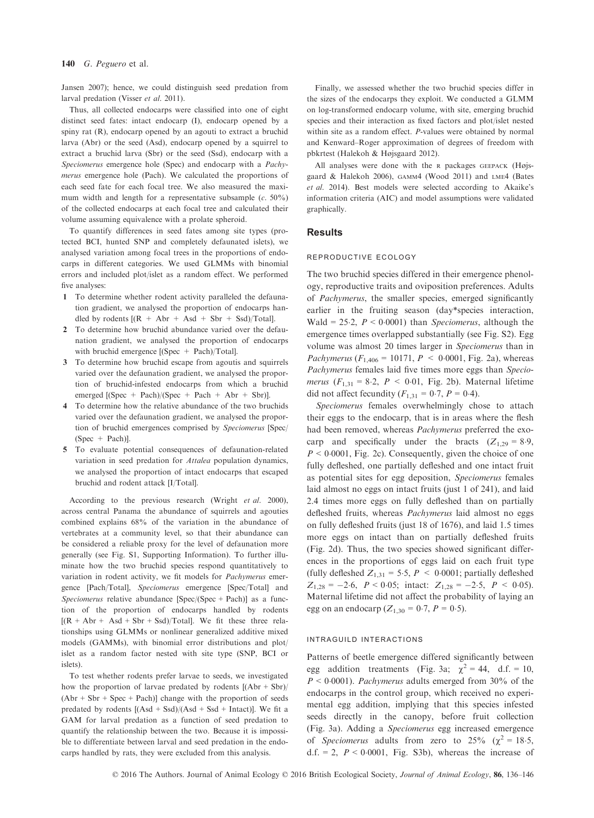#### 140 G. Peguero et al.

Jansen 2007); hence, we could distinguish seed predation from larval predation (Visser et al. 2011).

Thus, all collected endocarps were classified into one of eight distinct seed fates: intact endocarp (I), endocarp opened by a spiny rat (R), endocarp opened by an agouti to extract a bruchid larva (Abr) or the seed (Asd), endocarp opened by a squirrel to extract a bruchid larva (Sbr) or the seed (Ssd), endocarp with a Speciomerus emergence hole (Spec) and endocarp with a Pachymerus emergence hole (Pach). We calculated the proportions of each seed fate for each focal tree. We also measured the maximum width and length for a representative subsample  $(c. 50\%)$ of the collected endocarps at each focal tree and calculated their volume assuming equivalence with a prolate spheroid.

To quantify differences in seed fates among site types (protected BCI, hunted SNP and completely defaunated islets), we analysed variation among focal trees in the proportions of endocarps in different categories. We used GLMMs with binomial errors and included plot/islet as a random effect. We performed five analyses:

- 1 To determine whether rodent activity paralleled the defaunation gradient, we analysed the proportion of endocarps handled by rodents  $[(R + Abr + Asd + Sbr + Ssd)/Total]$ .
- 2 To determine how bruchid abundance varied over the defaunation gradient, we analysed the proportion of endocarps with bruchid emergence  $[(Spec + Pack)/Total]$ .
- 3 To determine how bruchid escape from agoutis and squirrels varied over the defaunation gradient, we analysed the proportion of bruchid-infested endocarps from which a bruchid emerged  $[(Spec + Pach)/(Spec + Pach + Abr + Sbr)]$ .
- 4 To determine how the relative abundance of the two bruchids varied over the defaunation gradient, we analysed the proportion of bruchid emergences comprised by Speciomerus [Spec/  $(Spec + Pach)$ ].
- 5 To evaluate potential consequences of defaunation-related variation in seed predation for Attalea population dynamics, we analysed the proportion of intact endocarps that escaped bruchid and rodent attack [I/Total].

According to the previous research (Wright et al. 2000), across central Panama the abundance of squirrels and agouties combined explains 68% of the variation in the abundance of vertebrates at a community level, so that their abundance can be considered a reliable proxy for the level of defaunation more generally (see Fig. S1, Supporting Information). To further illuminate how the two bruchid species respond quantitatively to variation in rodent activity, we fit models for Pachymerus emergence [Pach/Total], Speciomerus emergence [Spec/Total] and Speciomerus relative abundance [Spec/(Spec + Pach)] as a function of the proportion of endocarps handled by rodents  $[(R + Abr + Asd + Sbr + Ssd)/Total]$ . We fit these three relationships using GLMMs or nonlinear generalized additive mixed models (GAMMs), with binomial error distributions and plot/ islet as a random factor nested with site type (SNP, BCI or islets).

To test whether rodents prefer larvae to seeds, we investigated how the proportion of larvae predated by rodents  $[(Abr + Sbr)]$  $(Abr + Sbr + Spec + Pach)$ ] change with the proportion of seeds predated by rodents  $[(Asd + Ssd)/(Asd + Ssd + Intact)]$ . We fit a GAM for larval predation as a function of seed predation to quantify the relationship between the two. Because it is impossible to differentiate between larval and seed predation in the endocarps handled by rats, they were excluded from this analysis.

Finally, we assessed whether the two bruchid species differ in the sizes of the endocarps they exploit. We conducted a GLMM on log-transformed endocarp volume, with site, emerging bruchid species and their interaction as fixed factors and plot/islet nested within site as a random effect. P-values were obtained by normal and Kenward–Roger approximation of degrees of freedom with pbkrtest (Halekoh & Højsgaard 2012).

All analyses were done with the <sup>R</sup> packages GEEPACK (Højsgaard & Halekoh 2006), GAMM4 (Wood 2011) and LME4 (Bates et al. 2014). Best models were selected according to Akaike's information criteria (AIC) and model assumptions were validated graphically.

## Results

## reproductive ecology

The two bruchid species differed in their emergence phenology, reproductive traits and oviposition preferences. Adults of Pachymerus, the smaller species, emerged significantly earlier in the fruiting season (day\*species interaction, Wald = 25.2,  $P < 0.0001$ ) than *Speciomerus*, although the emergence times overlapped substantially (see Fig. S2). Egg volume was almost 20 times larger in Speciomerus than in *Pachymerus* ( $F_{1,406} = 10171$ ,  $P < 0.0001$ , Fig. 2a), whereas Pachymerus females laid five times more eggs than Speciomerus  $(F_{1,31} = 8.2, P < 0.01, Fig. 2b)$ . Maternal lifetime did not affect fecundity ( $F_{1,31} = 0.7$ ,  $P = 0.4$ ).

Speciomerus females overwhelmingly chose to attach their eggs to the endocarp, that is in areas where the flesh had been removed, whereas Pachymerus preferred the exocarp and specifically under the bracts  $(Z_{1,29} = 8.9,$  $P < 0.0001$ , Fig. 2c). Consequently, given the choice of one fully defleshed, one partially defleshed and one intact fruit as potential sites for egg deposition, Speciomerus females laid almost no eggs on intact fruits (just 1 of 241), and laid 2.4 times more eggs on fully defleshed than on partially defleshed fruits, whereas Pachymerus laid almost no eggs on fully defleshed fruits (just 18 of 1676), and laid 1.5 times more eggs on intact than on partially defleshed fruits (Fig. 2d). Thus, the two species showed significant differences in the proportions of eggs laid on each fruit type (fully defleshed  $Z_{1,31} = 5.5$ ,  $P \le 0.0001$ ; partially defleshed  $Z_{1,28} = -2.6$ ,  $P < 0.05$ ; intact:  $Z_{1,28} = -2.5$ ,  $P < 0.05$ ). Maternal lifetime did not affect the probability of laying an egg on an endocarp ( $Z_{1,30} = 0.7$ ,  $P = 0.5$ ).

## intraguild interactions

Patterns of beetle emergence differed significantly between egg addition treatments (Fig. 3a;  $\chi^2 = 44$ , d.f. = 10,  $P < 0.0001$ ). *Pachymerus* adults emerged from 30% of the endocarps in the control group, which received no experimental egg addition, implying that this species infested seeds directly in the canopy, before fruit collection (Fig. 3a). Adding a Speciomerus egg increased emergence of Speciomerus adults from zero to 25% ( $\chi^2 = 18.5$ , d.f. = 2,  $P < 0.0001$ , Fig. S3b), whereas the increase of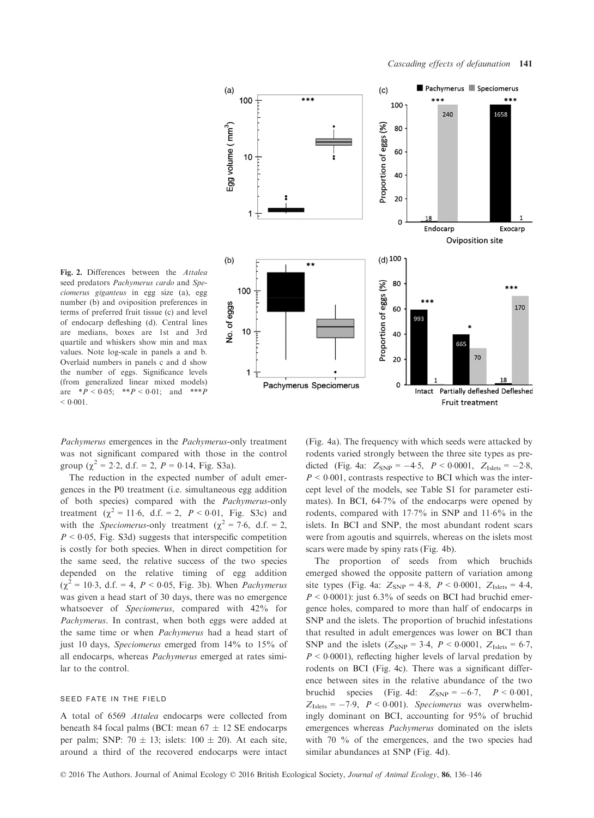

Fig. 2. Differences between the Attalea seed predators Pachymerus cardo and Speciomerus giganteus in egg size (a), egg number (b) and oviposition preferences in terms of preferred fruit tissue (c) and level of endocarp defleshing (d). Central lines are medians, boxes are 1st and 3rd quartile and whiskers show min and max values. Note log-scale in panels a and b. Overlaid numbers in panels c and d show the number of eggs. Significance levels (from generalized linear mixed models) are  $*P < 0.05$ ;  $*P < 0.01$ ; and  $**P$  $< 0.001$ .

Pachymerus emergences in the Pachymerus-only treatment was not significant compared with those in the control group ( $\chi^2 = 2.2$ , d.f. = 2,  $P = 0.14$ , Fig. S3a).

The reduction in the expected number of adult emergences in the P0 treatment (i.e. simultaneous egg addition of both species) compared with the Pachymerus-only treatment ( $\chi^2 = 11.6$ , d.f. = 2,  $P < 0.01$ , Fig. S3c) and with the *Speciomerus*-only treatment ( $\chi^2 = 7.6$ , d.f. = 2,  $P < 0.05$ , Fig. S3d) suggests that interspecific competition is costly for both species. When in direct competition for the same seed, the relative success of the two species depended on the relative timing of egg addition  $(\chi^2 = 10.3, d.f. = 4, P < 0.05, Fig. 3b)$ . When *Pachymerus* was given a head start of 30 days, there was no emergence whatsoever of Speciomerus, compared with 42% for Pachymerus. In contrast, when both eggs were added at the same time or when Pachymerus had a head start of just 10 days, Speciomerus emerged from 14% to 15% of all endocarps, whereas Pachymerus emerged at rates similar to the control.

#### seed fate in the field

A total of 6569 Attalea endocarps were collected from beneath 84 focal palms (BCI: mean  $67 \pm 12$  SE endocarps per palm; SNP:  $70 \pm 13$ ; islets:  $100 \pm 20$ ). At each site, around a third of the recovered endocarps were intact (Fig. 4a). The frequency with which seeds were attacked by rodents varied strongly between the three site types as predicted (Fig. 4a:  $Z_{SNP} = -4.5$ ,  $P < 0.0001$ ,  $Z_{Islets} = -2.8$ ,  $P \le 0.001$ , contrasts respective to BCI which was the intercept level of the models, see Table S1 for parameter estimates). In BCI, 647% of the endocarps were opened by rodents, compared with 177% in SNP and 116% in the islets. In BCI and SNP, the most abundant rodent scars were from agoutis and squirrels, whereas on the islets most scars were made by spiny rats (Fig. 4b).

The proportion of seeds from which bruchids emerged showed the opposite pattern of variation among site types (Fig. 4a:  $Z_{SNP} = 4.8$ ,  $P < 0.0001$ ,  $Z_{Islets} = 4.4$ ,  $P < 0.0001$ ): just 6.3% of seeds on BCI had bruchid emergence holes, compared to more than half of endocarps in SNP and the islets. The proportion of bruchid infestations that resulted in adult emergences was lower on BCI than SNP and the islets ( $Z_{SNP} = 3.4$ ,  $P < 0.0001$ ,  $Z_{Islets} = 6.7$ ,  $P < 0.0001$ ), reflecting higher levels of larval predation by rodents on BCI (Fig. 4c). There was a significant difference between sites in the relative abundance of the two bruchid species (Fig. 4d:  $Z_{SNP} = -6.7$ ,  $P < 0.001$ ,  $Z_{\text{Islets}} = -7.9$ ,  $P < 0.001$ ). Speciomerus was overwhelmingly dominant on BCI, accounting for 95% of bruchid emergences whereas Pachymerus dominated on the islets with 70 % of the emergences, and the two species had similar abundances at SNP (Fig. 4d).

© 2016 The Authors. Journal of Animal Ecology © 2016 British Ecological Society, Journal of Animal Ecology, 86, 136–146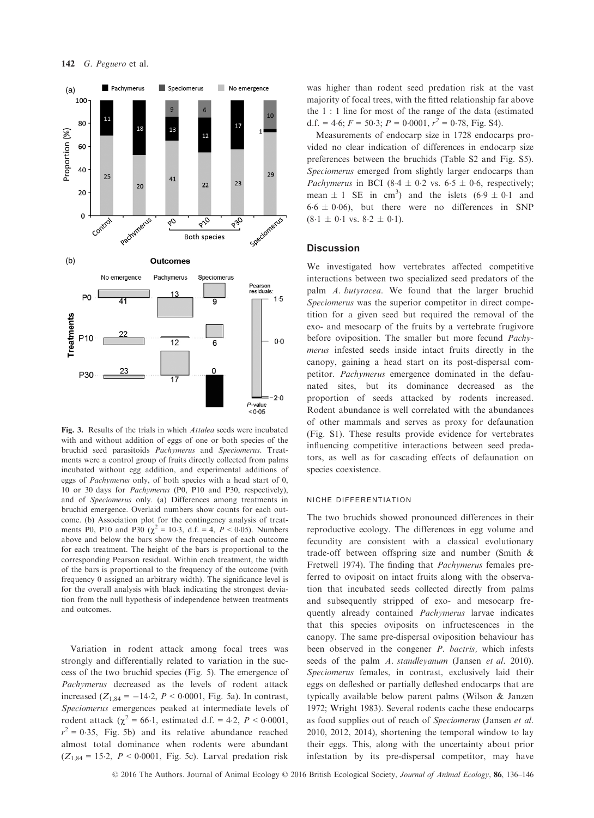

Fig. 3. Results of the trials in which Attalea seeds were incubated with and without addition of eggs of one or both species of the bruchid seed parasitoids Pachymerus and Speciomerus. Treatments were a control group of fruits directly collected from palms incubated without egg addition, and experimental additions of eggs of Pachymerus only, of both species with a head start of 0, 10 or 30 days for Pachymerus (P0, P10 and P30, respectively), and of Speciomerus only. (a) Differences among treatments in bruchid emergence. Overlaid numbers show counts for each outcome. (b) Association plot for the contingency analysis of treatments P0, P10 and P30 ( $\chi^2 = 10.3$ , d.f. = 4, P < 0.05). Numbers above and below the bars show the frequencies of each outcome for each treatment. The height of the bars is proportional to the corresponding Pearson residual. Within each treatment, the width of the bars is proportional to the frequency of the outcome (with frequency 0 assigned an arbitrary width). The significance level is for the overall analysis with black indicating the strongest deviation from the null hypothesis of independence between treatments and outcomes.

Variation in rodent attack among focal trees was strongly and differentially related to variation in the success of the two bruchid species (Fig. 5). The emergence of Pachymerus decreased as the levels of rodent attack increased  $(Z_{1,84} = -14.2, P < 0.0001, Fig. 5a)$ . In contrast, Speciomerus emergences peaked at intermediate levels of rodent attack ( $\chi^2 = 66.1$ , estimated d.f. = 4.2,  $P < 0.0001$ ,  $r^2 = 0.35$ , Fig. 5b) and its relative abundance reached almost total dominance when rodents were abundant  $(Z_{1,84} = 15.2, P < 0.0001,$  Fig. 5c). Larval predation risk

was higher than rodent seed predation risk at the vast majority of focal trees, with the fitted relationship far above the 1 : 1 line for most of the range of the data (estimated d.f. = 4.6;  $F = 50.3$ ;  $P = 0.0001$ ,  $r^2 = 0.78$ , Fig. S4).

Measurements of endocarp size in 1728 endocarps provided no clear indication of differences in endocarp size preferences between the bruchids (Table S2 and Fig. S5). Speciomerus emerged from slightly larger endocarps than Pachymerus in BCI (8.4  $\pm$  0.2 vs. 6.5  $\pm$  0.6, respectively; mean  $\pm 1$  SE in cm<sup>3</sup>) and the islets  $(6.9 \pm 0.1$  and  $6.6 \pm 0.06$ , but there were no differences in SNP  $(8.1 \pm 0.1 \text{ vs. } 8.2 \pm 0.1).$ 

#### **Discussion**

We investigated how vertebrates affected competitive interactions between two specialized seed predators of the palm A. butyracea. We found that the larger bruchid Speciomerus was the superior competitor in direct competition for a given seed but required the removal of the exo- and mesocarp of the fruits by a vertebrate frugivore before oviposition. The smaller but more fecund *Pachy*merus infested seeds inside intact fruits directly in the canopy, gaining a head start on its post-dispersal competitor. Pachymerus emergence dominated in the defaunated sites, but its dominance decreased as the proportion of seeds attacked by rodents increased. Rodent abundance is well correlated with the abundances of other mammals and serves as proxy for defaunation (Fig. S1). These results provide evidence for vertebrates influencing competitive interactions between seed predators, as well as for cascading effects of defaunation on species coexistence.

#### niche differentiation

The two bruchids showed pronounced differences in their reproductive ecology. The differences in egg volume and fecundity are consistent with a classical evolutionary trade-off between offspring size and number (Smith & Fretwell 1974). The finding that Pachymerus females preferred to oviposit on intact fruits along with the observation that incubated seeds collected directly from palms and subsequently stripped of exo- and mesocarp frequently already contained Pachymerus larvae indicates that this species oviposits on infructescences in the canopy. The same pre-dispersal oviposition behaviour has been observed in the congener P. bactris, which infests seeds of the palm A. standleyanum (Jansen et al. 2010). Speciomerus females, in contrast, exclusively laid their eggs on defleshed or partially defleshed endocarps that are typically available below parent palms (Wilson & Janzen 1972; Wright 1983). Several rodents cache these endocarps as food supplies out of reach of Speciomerus (Jansen et al. 2010, 2012, 2014), shortening the temporal window to lay their eggs. This, along with the uncertainty about prior infestation by its pre-dispersal competitor, may have

© 2016 The Authors. Journal of Animal Ecology © 2016 British Ecological Society, Journal of Animal Ecology, 86, 136–146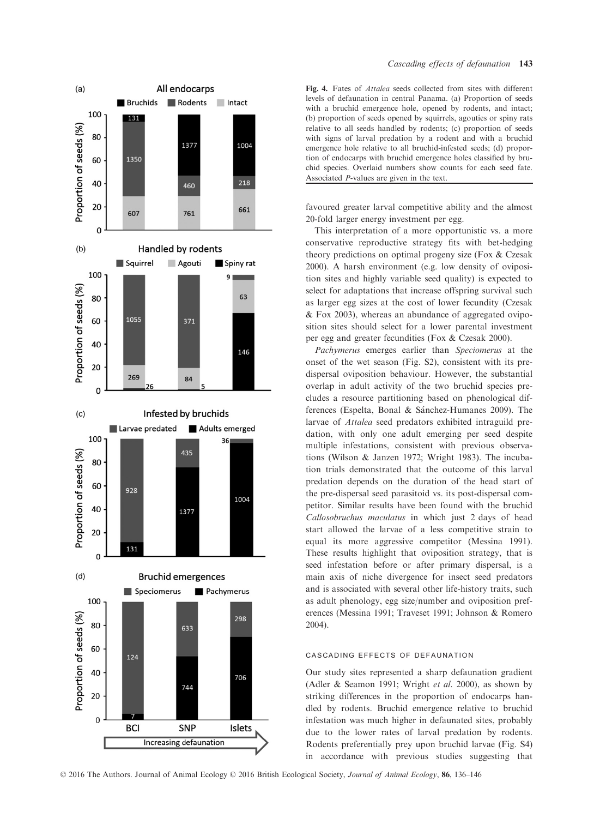

<sup>©</sup> 2016 The Authors. Journal of Animal Ecology © 2016 British Ecological Society, Journal of Animal Ecology, 86, 136–146

Fig. 4. Fates of Attalea seeds collected from sites with different levels of defaunation in central Panama. (a) Proportion of seeds with a bruchid emergence hole, opened by rodents, and intact; (b) proportion of seeds opened by squirrels, agouties or spiny rats relative to all seeds handled by rodents; (c) proportion of seeds with signs of larval predation by a rodent and with a bruchid emergence hole relative to all bruchid-infested seeds; (d) proportion of endocarps with bruchid emergence holes classified by bruchid species. Overlaid numbers show counts for each seed fate. Associated P-values are given in the text.

favoured greater larval competitive ability and the almost 20-fold larger energy investment per egg.

This interpretation of a more opportunistic vs. a more conservative reproductive strategy fits with bet-hedging theory predictions on optimal progeny size (Fox & Czesak 2000). A harsh environment (e.g. low density of oviposition sites and highly variable seed quality) is expected to select for adaptations that increase offspring survival such as larger egg sizes at the cost of lower fecundity (Czesak & Fox 2003), whereas an abundance of aggregated oviposition sites should select for a lower parental investment per egg and greater fecundities (Fox & Czesak 2000).

Pachymerus emerges earlier than Speciomerus at the onset of the wet season (Fig. S2), consistent with its predispersal oviposition behaviour. However, the substantial overlap in adult activity of the two bruchid species precludes a resource partitioning based on phenological differences (Espelta, Bonal & Sánchez-Humanes 2009). The larvae of Attalea seed predators exhibited intraguild predation, with only one adult emerging per seed despite multiple infestations, consistent with previous observations (Wilson & Janzen 1972; Wright 1983). The incubation trials demonstrated that the outcome of this larval predation depends on the duration of the head start of the pre-dispersal seed parasitoid vs. its post-dispersal competitor. Similar results have been found with the bruchid Callosobruchus maculatus in which just 2 days of head start allowed the larvae of a less competitive strain to equal its more aggressive competitor (Messina 1991). These results highlight that oviposition strategy, that is seed infestation before or after primary dispersal, is a main axis of niche divergence for insect seed predators and is associated with several other life-history traits, such as adult phenology, egg size/number and oviposition preferences (Messina 1991; Traveset 1991; Johnson & Romero 2004).

# cascading effects of defaunation

Our study sites represented a sharp defaunation gradient (Adler & Seamon 1991; Wright et al. 2000), as shown by striking differences in the proportion of endocarps handled by rodents. Bruchid emergence relative to bruchid infestation was much higher in defaunated sites, probably due to the lower rates of larval predation by rodents. Rodents preferentially prey upon bruchid larvae (Fig. S4) in accordance with previous studies suggesting that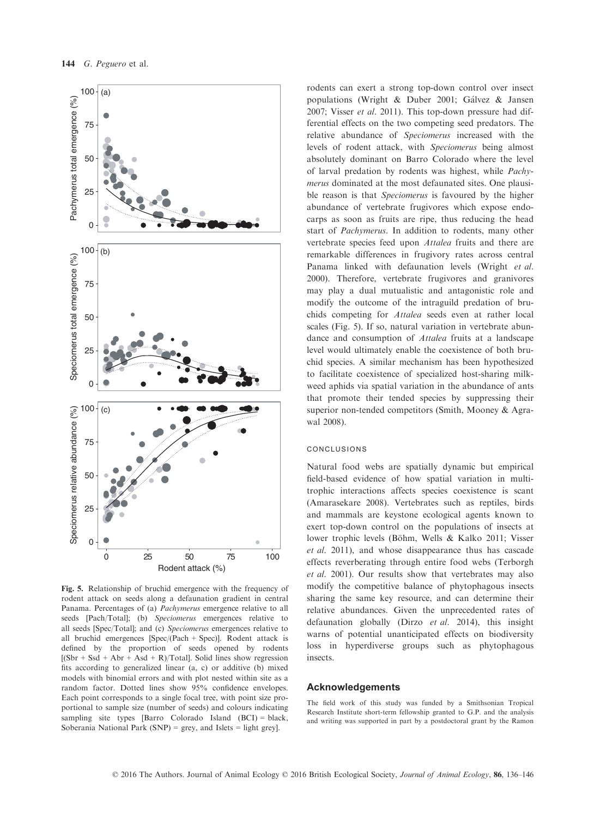

Fig. 5. Relationship of bruchid emergence with the frequency of rodent attack on seeds along a defaunation gradient in central Panama. Percentages of (a) Pachymerus emergence relative to all seeds [Pach/Total]; (b) Speciomerus emergences relative to all seeds [Spec/Total]; and (c) Speciomerus emergences relative to all bruchid emergences [Spec/(Pach + Spec)]. Rodent attack is defined by the proportion of seeds opened by rodents  $[(Sbr + Ssd + Abr + Asd + R)/Total]$ . Solid lines show regression fits according to generalized linear (a, c) or additive (b) mixed models with binomial errors and with plot nested within site as a random factor. Dotted lines show 95% confidence envelopes. Each point corresponds to a single focal tree, with point size proportional to sample size (number of seeds) and colours indicating sampling site types [Barro Colorado Island (BCI) = black, Soberania National Park (SNP) = grey, and Islets = light grey].

rodents can exert a strong top-down control over insect populations (Wright & Duber 2001; Gálvez & Jansen 2007; Visser et al. 2011). This top-down pressure had differential effects on the two competing seed predators. The relative abundance of Speciomerus increased with the levels of rodent attack, with Speciomerus being almost absolutely dominant on Barro Colorado where the level of larval predation by rodents was highest, while Pachymerus dominated at the most defaunated sites. One plausible reason is that Speciomerus is favoured by the higher abundance of vertebrate frugivores which expose endocarps as soon as fruits are ripe, thus reducing the head start of Pachymerus. In addition to rodents, many other vertebrate species feed upon Attalea fruits and there are remarkable differences in frugivory rates across central Panama linked with defaunation levels (Wright et al. 2000). Therefore, vertebrate frugivores and granivores may play a dual mutualistic and antagonistic role and modify the outcome of the intraguild predation of bruchids competing for Attalea seeds even at rather local scales (Fig. 5). If so, natural variation in vertebrate abundance and consumption of Attalea fruits at a landscape level would ultimately enable the coexistence of both bruchid species. A similar mechanism has been hypothesized to facilitate coexistence of specialized host-sharing milkweed aphids via spatial variation in the abundance of ants that promote their tended species by suppressing their superior non-tended competitors (Smith, Mooney & Agrawal 2008).

## conclusions

Natural food webs are spatially dynamic but empirical field-based evidence of how spatial variation in multitrophic interactions affects species coexistence is scant (Amarasekare 2008). Vertebrates such as reptiles, birds and mammals are keystone ecological agents known to exert top-down control on the populations of insects at lower trophic levels (Böhm, Wells & Kalko 2011; Visser et al. 2011), and whose disappearance thus has cascade effects reverberating through entire food webs (Terborgh et al. 2001). Our results show that vertebrates may also modify the competitive balance of phytophagous insects sharing the same key resource, and can determine their relative abundances. Given the unprecedented rates of defaunation globally (Dirzo et al. 2014), this insight warns of potential unanticipated effects on biodiversity loss in hyperdiverse groups such as phytophagous insects.

# Acknowledgements

The field work of this study was funded by a Smithsonian Tropical Research Institute short-term fellowship granted to G.P. and the analysis and writing was supported in part by a postdoctoral grant by the Ramon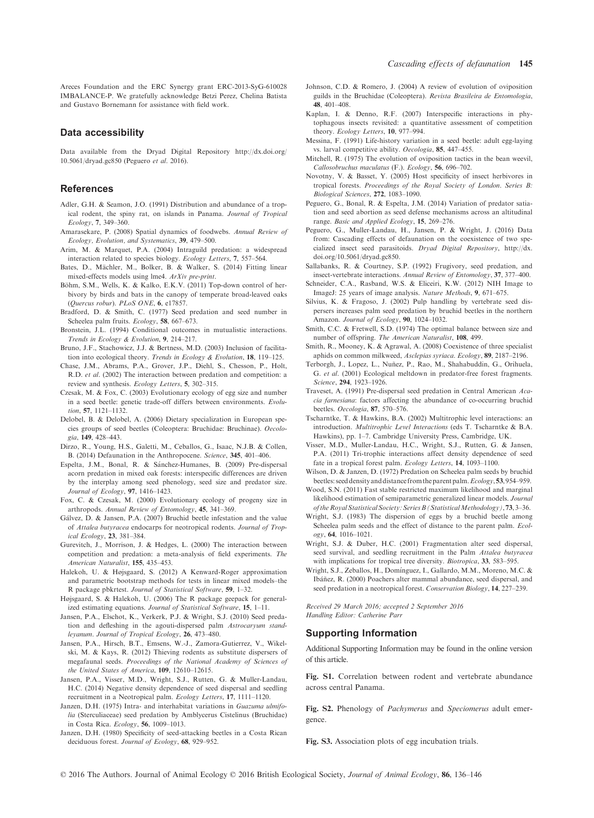#### Data accessibility

Data available from the Dryad Digital Repository [http://dx.doi.org/](http://dx.doi.org/10.5061/dryad.gc850) [10.5061/dryad.gc850](http://dx.doi.org/10.5061/dryad.gc850) (Peguero et al. 2016).

# References

- Adler, G.H. & Seamon, J.O. (1991) Distribution and abundance of a tropical rodent, the spiny rat, on islands in Panama. Journal of Tropical Ecology, 7, 349–360.
- Amarasekare, P. (2008) Spatial dynamics of foodwebs. Annual Review of Ecology, Evolution, and Systematics, 39, 479–500.
- Arim, M. & Marquet, P.A. (2004) Intraguild predation: a widespread interaction related to species biology. Ecology Letters, 7, 557–564.
- Bates, D., Mächler, M., Bolker, B. & Walker, S. (2014) Fitting linear mixed-effects models using lme4. ArXiv pre-print.
- Böhm, S.M., Wells, K. & Kalko, E.K.V. (2011) Top-down control of herbivory by birds and bats in the canopy of temperate broad-leaved oaks (Overcus robur). PLoS ONE 6 e17857
- (*Quercus robur*). *PLoS ONE*, **6**, e17857.<br>Bradford, D. & Smith, C. (1977) Seed predation and seed number in Scheelea palm fruits. Ecology, 58, 667–673.
- Bronstein, J.L. (1994) Conditional outcomes in mutualistic interactions. Trends in Ecology & Evolution, 9, 214–217.
- Bruno, J.F., Stachowicz, J.J. & Bertness, M.D. (2003) Inclusion of facilitation into ecological theory. Trends in Ecology & Evolution, 18, 119–125.
- Chase, J.M., Abrams, P.A., Grover, J.P., Diehl, S., Chesson, P., Holt, R.D. et al. (2002) The interaction between predation and competition: a review and synthesis. Ecology Letters, 5, 302–315.
- Czesak, M. & Fox, C. (2003) Evolutionary ecology of egg size and number in a seed beetle: genetic trade-off differs between environments. Evolution, 57, 1121–1132.
- Delobel, B. & Delobel, A. (2006) Dietary specialization in European species groups of seed beetles (Coleoptera: Bruchidae: Bruchinae). Oecologia, 149, 428–443.
- Dirzo, R., Young, H.S., Galetti, M., Ceballos, G., Isaac, N.J.B. & Collen, B. (2014) Defaunation in the Anthropocene. Science, <sup>345</sup>, 401–406.
- Espelta, J.M., Bonal, R. & Sanchez-Humanes, B. (2009) Pre-dispersal acorn predation in mixed oak forests: interspecific differences are driven by the interplay among seed phenology, seed size and predator size. Journal of Ecology, 97, 1416–1423.
- Fox, C. & Czesak, M. (2000) Evolutionary ecology of progeny size in arthropods. Annual Review of Entomology, 45, 341–369.
- Galvez, D. & Jansen, P.A. (2007) Bruchid beetle infestation and the value of Attalea butyracea endocarps for neotropical rodents. Journal of Tropical Ecology, 23, 381–384.
- Gurevitch, J., Morrison, J. & Hedges, L. (2000) The interaction between competition and predation: a meta-analysis of field experiments. The
- American Naturalist, 155, 435–453. Halekoh, U. & Højsgaard, S. (2012) A Kenward-Roger approximation and parametric bootstrap methods for tests in linear mixed models–the R package pbkrtest. Journal of Statistical Software, 59, 1–32.
- Højsgaard, S. & Halekoh, U. (2006) The R package geepack for generalized estimating equations. Journal of Statistical Software, 15, 1–11.
- Jansen, P.A., Elschot, K., Verkerk, P.J. & Wright, S.J. (2010) Seed predation and defleshing in the agouti-dispersed palm Astrocaryum standleyanum. Journal of Tropical Ecology, 26, 473–480.
- Jansen, P.A., Hirsch, B.T., Emsens, W.-J., Zamora-Gutierrez, V., Wikelski, M. & Kays, R. (2012) Thieving rodents as substitute dispersers of megafaunal seeds. Proceedings of the National Academy of Sciences of the United States of America, 109, 12610–12615.
- Jansen, P.A., Visser, M.D., Wright, S.J., Rutten, G. & Muller-Landau, H.C. (2014) Negative density dependence of seed dispersal and seedling recruitment in a Neotropical palm. Ecology Letters, 17, 1111–1120.
- Janzen, D.H. (1975) Intra- and interhabitat variations in Guazuma ulmifolia (Sterculiaceae) seed predation by Amblycerus Cistelinus (Bruchidae) in Costa Rica. Ecology, 56, 1009–1013.
- Janzen, D.H. (1980) Specificity of seed-attacking beetles in a Costa Rican deciduous forest. Journal of Ecology, 68, 929–952.
- Johnson, C.D. & Romero, J. (2004) A review of evolution of oviposition guilds in the Bruchidae (Coleoptera). Revista Brasileira de Entomologia,
- 48, 401–408. Kaplan, I. & Denno, R.F. (2007) Interspecific interactions in phytophagous insects revisited: a quantitative assessment of competition theory.  $Ecology \space Letters$ . **10.** 977–994.
- theory. *Ecology Letters*, **10**, 977–994.<br>Messina, F. (1991) Life-history variation in a seed beetle: adult egg-laying vs. larval competitive ability. Oecologia, 85, 447-455.
- Mitchell, R. (1975) The evolution of oviposition tactics in the bean weevil, Callosobruchus maculatus (F.). Ecology, 56, 696–702.
- Novotny, V. & Basset, Y. (2005) Host specificity of insect herbivores in tropical forests. Proceedings of the Royal Society of London. Series B:
- Biological Sciences, 272, 1083-1090.<br>Peguero, G., Bonal, R. & Espelta, J.M. (2014) Variation of predator satiation and seed abortion as seed defense mechanisms across an altitudinal range. Basic and Applied Ecology, 15, 269–276.
- Peguero, G., Muller-Landau, H., Jansen, P. & Wright, J. (2016) Data from: Cascading effects of defaunation on the coexistence of two specialized insect seed parasitoids. Dryad Digital Repository, [http://dx.](http://dx.doi.org/10.5061/dryad.gc850) [doi.org/10.5061/dryad.gc850](http://dx.doi.org/10.5061/dryad.gc850).
- Sallabanks, R. & Courtney, S.P. (1992) Frugivory, seed predation, and insect-vertebrate interactions. Annual Review of Entomology, 37, 377–400.
- Schneider, C.A., Rasband, W.S. & Eliceiri, K.W. (2012) NIH Image to ImageJ: 25 years of image analysis. *Nature Methods*, **9**, 671–675.<br>Silvius, K. & Fragoso, J. (2002) Pulp handling by vertebrate seed dis-
- persers increases palm seed predation by bruchid beetles in the northern Amazon. Journal of Ecology, 90, 1024-1032.
- Smith, C.C. & Fretwell, S.D. (1974) The optimal balance between size and number of offspring. The American Naturalist, 108, 499.
- Smith, R., Mooney, K. & Agrawal, A. (2008) Coexistence of three specialist aphids on common milkweed, Asclepias syriaca. Ecology, <sup>89</sup>, 2187–2196.
- Terborgh, J., Lopez, L., Nuñez, P., Rao, M., Shahabuddin, G., Orihuela, G. et al. (2001) Ecological meltdown in predator-free forest fragments. Science, 294, 1923–1926.
- Traveset, A. (1991) Pre-dispersal seed predation in Central American Acacia farnesiana: factors affecting the abundance of co-occurring bruchid beetles. Oecologia, 87, 570–576.
- Tscharntke, T. & Hawkins, B.A. (2002) Multitrophic level interactions: an introduction. Multitrophic Level Interactions (eds T. Tscharntke & B.A. Hawkins), pp. 1–7. Cambridge University Press, Cambridge, UK.
- Visser, M.D., Muller-Landau, H.C., Wright, S.J., Rutten, G. & Jansen, P.A. (2011) Tri-trophic interactions affect density dependence of seed fate in a tropical forest palm. Ecology Letters, 14, 1093-1100
- Wilson, D. & Janzen, D. (1972) Predation on Scheelea palm seeds by bruchid beetles: seed density and distance from the parent palm. Ecology, 53, 954–959.
- Wood, S.N. (2011) Fast stable restricted maximum likelihood and marginal likelihood estimation of semiparametric generalized linear models. Journal of the Royal StatisticalSociety:SeriesB (StatisticalMethodology),73, 3–36.
- Wright, S.J. (1983) The dispersion of eggs by a bruchid beetle among Scheelea palm seeds and the effect of distance to the parent palm. Ecol-
- ogy, 64, 1016–1021. Wright, S.J. & Duber, H.C. (2001) Fragmentation alter seed dispersal, seed survival, and seedling recruitment in the Palm Attalea butyracea
- with implications for tropical tree diversity. *Biotropica*, 33, 583–595.<br>Wright, S.J., Zeballos, H., Domínguez, I., Gallardo, M.M., Moreno, M.C. & Ibáñez, R. (2000) Poachers alter mammal abundance, seed dispersal, and seed predation in a neotropical forest. Conservation Biology, 14, 227-239.

Received 29 March 2016; accepted 2 September 2016 Handling Editor: Catherine Parr

## Supporting Information

Additional Supporting Information may be found in the online version of this article.

Fig. S1. Correlation between rodent and vertebrate abundance across central Panama.

Fig. S2. Phenology of Pachymerus and Speciomerus adult emergence.

Fig. S3. Association plots of egg incubation trials.